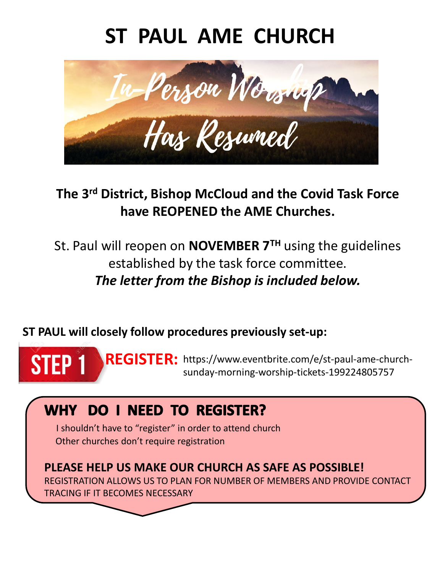# **ST PAUL AME CHURCH**



## **The 3rd District, Bishop McCloud and the Covid Task Force have REOPENED the AME Churches.**

St. Paul will reopen on **NOVEMBER 7TH** using the guidelines established by the task force committee. *The letter from the Bishop is included below.* 

### **ST PAUL will closely follow procedures previously set-up:**

REGISTER: https://www.eventbrite.com/e/st-paul-ame-church-**STEP1** sunday-morning-worship-tickets-199224805757

## WHY DO I NEED TO REGISTER?

I shouldn't have to "register" in order to attend church Other churches don't require registration

**PLEASE HELP US MAKE OUR CHURCH AS SAFE AS POSSIBLE!**  REGISTRATION ALLOWS US TO PLAN FOR NUMBER OF MEMBERS AND PROVIDE CONTACT

TRACING IF IT BECOMES NECESSARY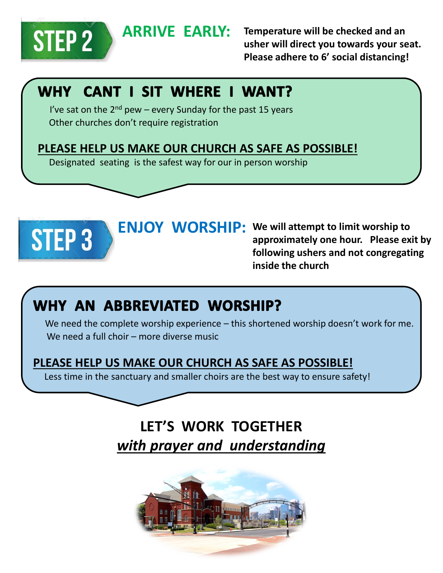

**ARRIVE EARLY: Temperature will be checked and an usher will direct you towards your seat. Please adhere to 6' social distancing!**

## WHY CANT I SIT WHERE I WANT?

I've sat on the  $2<sup>nd</sup>$  pew – every Sunday for the past 15 years Other churches don't require registration

#### **PLEASE HELP US MAKE OUR CHURCH AS SAFE AS POSSIBLE!**

Designated seating is the safest way for our in person worship



**ENJOY WORSHIP: We will attempt to limit worship to approximately one hour. Please exit by following ushers and not congregating inside the church**

## WHY AN ABBREVIATED WORSHIP?

We need the complete worship experience – this shortened worship doesn't work for me. We need a full choir – more diverse music

### **PLEASE HELP US MAKE OUR CHURCH AS SAFE AS POSSIBLE!**

Less time in the sanctuary and smaller choirs are the best way to ensure safety!

## **LET'S WORK TOGETHER** *with prayer and understanding*

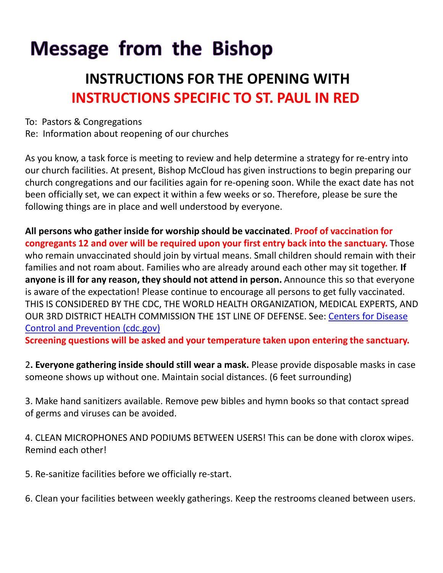# **Message from the Bishop**

## **INSTRUCTIONS FOR THE OPENING WITH INSTRUCTIONS SPECIFIC TO ST. PAUL IN RED**

To: Pastors & Congregations

Re: Information about reopening of our churches

As you know, a task force is meeting to review and help determine a strategy for re-entry into our church facilities. At present, Bishop McCloud has given instructions to begin preparing our church congregations and our facilities again for re-opening soon. While the exact date has not been officially set, we can expect it within a few weeks or so. Therefore, please be sure the following things are in place and well understood by everyone.

**All persons who gather inside for worship should be vaccinated**. **Proof of vaccination for congregants 12 and over will be required upon your first entry back into the sanctuary.** Those who remain unvaccinated should join by virtual means. Small children should remain with their families and not roam about. Families who are already around each other may sit together. **If anyone is ill for any reason, they should not attend in person.** Announce this so that everyone is aware of the expectation! Please continue to encourage all persons to get fully vaccinated. THIS IS CONSIDERED BY THE CDC, THE WORLD HEALTH ORGANIZATION, MEDICAL EXPERTS, AND [OUR 3RD DISTRICT HEALTH COMMISSION THE 1ST LINE OF DEFENSE. See:](https://www.cdc.gov/) Centers for Disease Control and Prevention (cdc.gov)

**Screening questions will be asked and your temperature taken upon entering the sanctuary.** 

2**. Everyone gathering inside should still wear a mask.** Please provide disposable masks in case someone shows up without one. Maintain social distances. (6 feet surrounding)

3. Make hand sanitizers available. Remove pew bibles and hymn books so that contact spread of germs and viruses can be avoided.

4. CLEAN MICROPHONES AND PODIUMS BETWEEN USERS! This can be done with clorox wipes. Remind each other!

5. Re-sanitize facilities before we officially re-start.

6. Clean your facilities between weekly gatherings. Keep the restrooms cleaned between users.